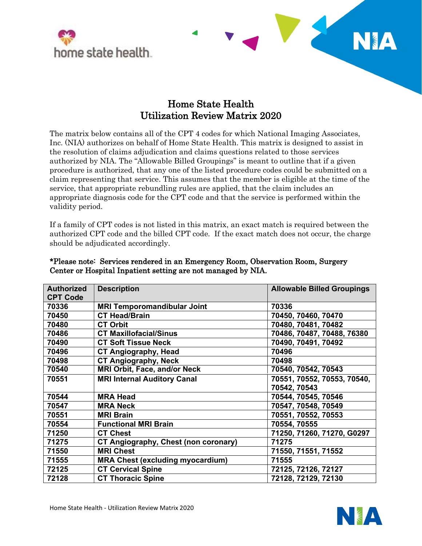



**TERM** 

NA

 The matrix below contains all of the CPT 4 codes for which National Imaging Associates, Inc. (NIA) authorizes on behalf of Home State Health. This matrix is designed to assist in the resolution of claims adjudication and claims questions related to those services authorized by NIA. The "Allowable Billed Groupings" is meant to outline that if a given procedure is authorized, that any one of the listed procedure codes could be submitted on a claim representing that service. This assumes that the member is eligible at the time of the service, that appropriate rebundling rules are applied, that the claim includes an appropriate diagnosis code for the CPT code and that the service is performed within the validity period.

 If a family of CPT codes is not listed in this matrix, an exact match is required between the authorized CPT code and the billed CPT code. If the exact match does not occur, the charge should be adjudicated accordingly.

| <b>Authorized</b><br><b>CPT Code</b> | <b>Description</b>                          | <b>Allowable Billed Groupings</b> |
|--------------------------------------|---------------------------------------------|-----------------------------------|
| 70336                                | <b>MRI Temporomandibular Joint</b>          | 70336                             |
| 70450                                | <b>CT Head/Brain</b>                        | 70450, 70460, 70470               |
| 70480                                | <b>CT Orbit</b>                             | 70480, 70481, 70482               |
| 70486                                | <b>CT Maxillofacial/Sinus</b>               | 70486, 70487, 70488, 76380        |
| 70490                                | <b>CT Soft Tissue Neck</b>                  | 70490, 70491, 70492               |
| 70496                                | <b>CT Angiography, Head</b>                 | 70496                             |
| 70498                                | <b>CT Angiography, Neck</b>                 | 70498                             |
| 70540                                | <b>MRI Orbit, Face, and/or Neck</b>         | 70540, 70542, 70543               |
| 70551                                | <b>MRI Internal Auditory Canal</b>          | 70551, 70552, 70553, 70540,       |
|                                      |                                             | 70542, 70543                      |
| 70544                                | <b>MRA Head</b>                             | 70544, 70545, 70546               |
| 70547                                | <b>MRA Neck</b>                             | 70547, 70548, 70549               |
| 70551                                | <b>MRI Brain</b>                            | 70551, 70552, 70553               |
| 70554                                | <b>Functional MRI Brain</b>                 | 70554, 70555                      |
| 71250                                | <b>CT Chest</b>                             | 71250, 71260, 71270, G0297        |
| 71275                                | <b>CT Angiography, Chest (non coronary)</b> | 71275                             |
| 71550                                | <b>MRI Chest</b>                            | 71550, 71551, 71552               |
| 71555                                | <b>MRA Chest (excluding myocardium)</b>     | 71555                             |
| 72125                                | <b>CT Cervical Spine</b>                    | 72125, 72126, 72127               |
| 72128                                | <b>CT Thoracic Spine</b>                    | 72128, 72129, 72130               |

## \*Please note: Services rendered in an Emergency Room, Observation Room, Surgery Center or Hospital Inpatient setting are not managed by NIA.

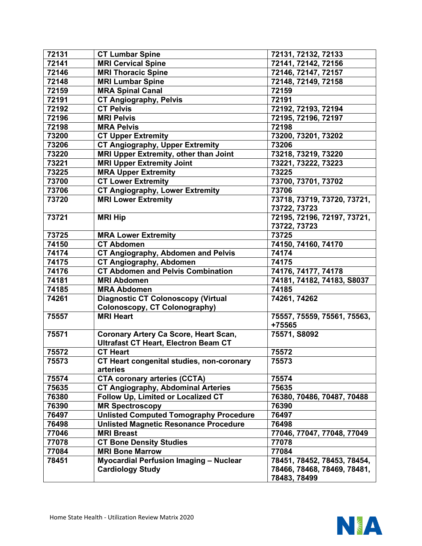| 72131 | <b>CT Lumbar Spine</b>                        | 72131, 72132, 72133         |
|-------|-----------------------------------------------|-----------------------------|
| 72141 | <b>MRI Cervical Spine</b>                     | 72141, 72142, 72156         |
| 72146 | <b>MRI Thoracic Spine</b>                     | 72146, 72147, 72157         |
| 72148 | <b>MRI Lumbar Spine</b>                       | 72148, 72149, 72158         |
| 72159 | <b>MRA Spinal Canal</b>                       | 72159                       |
| 72191 | <b>CT Angiography, Pelvis</b>                 | 72191                       |
| 72192 | <b>CT Pelvis</b>                              | 72192, 72193, 72194         |
| 72196 | <b>MRI Pelvis</b>                             | 72195, 72196, 72197         |
| 72198 | <b>MRA Pelvis</b>                             | 72198                       |
| 73200 | <b>CT Upper Extremity</b>                     | 73200, 73201, 73202         |
| 73206 | <b>CT Angiography, Upper Extremity</b>        | 73206                       |
| 73220 | MRI Upper Extremity, other than Joint         | 73218, 73219, 73220         |
| 73221 | <b>MRI Upper Extremity Joint</b>              | 73221, 73222, 73223         |
| 73225 | <b>MRA Upper Extremity</b>                    | 73225                       |
| 73700 | <b>CT Lower Extremity</b>                     | 73700, 73701, 73702         |
| 73706 | <b>CT Angiography, Lower Extremity</b>        | 73706                       |
| 73720 | <b>MRI Lower Extremity</b>                    | 73718, 73719, 73720, 73721, |
|       |                                               | 73722, 73723                |
| 73721 | <b>MRI Hip</b>                                | 72195, 72196, 72197, 73721, |
|       |                                               | 73722, 73723                |
| 73725 | <b>MRA Lower Extremity</b>                    | 73725                       |
| 74150 | <b>CT Abdomen</b>                             | 74150, 74160, 74170         |
| 74174 | <b>CT Angiography, Abdomen and Pelvis</b>     | 74174                       |
| 74175 | <b>CT Angiography, Abdomen</b>                | 74175                       |
| 74176 | <b>CT Abdomen and Pelvis Combination</b>      | 74176, 74177, 74178         |
| 74181 | <b>MRI Abdomen</b>                            | 74181, 74182, 74183, S8037  |
| 74185 | <b>MRA Abdomen</b>                            | 74185                       |
| 74261 | <b>Diagnostic CT Colonoscopy (Virtual</b>     | 74261, 74262                |
|       | <b>Colonoscopy, CT Colonography)</b>          |                             |
| 75557 | <b>MRI Heart</b>                              | 75557, 75559, 75561, 75563, |
|       |                                               | +75565                      |
| 75571 | <b>Coronary Artery Ca Score, Heart Scan,</b>  | 75571, S8092                |
|       | <b>Ultrafast CT Heart, Electron Beam CT</b>   |                             |
| 75572 | <b>CT Heart</b>                               | 75572                       |
| 75573 | CT Heart congenital studies, non-coronary     | 75573                       |
|       | arteries                                      |                             |
| 75574 | <b>CTA coronary arteries (CCTA)</b>           | 75574                       |
| 75635 | <b>CT Angiography, Abdominal Arteries</b>     | 75635                       |
| 76380 | Follow Up, Limited or Localized CT            | 76380, 70486, 70487, 70488  |
| 76390 | <b>MR Spectroscopy</b>                        | 76390                       |
| 76497 | <b>Unlisted Computed Tomography Procedure</b> | 76497                       |
| 76498 | <b>Unlisted Magnetic Resonance Procedure</b>  | 76498                       |
| 77046 | <b>MRI Breast</b>                             | 77046, 77047, 77048, 77049  |
| 77078 | <b>CT Bone Density Studies</b>                | 77078                       |
| 77084 | <b>MRI Bone Marrow</b>                        | 77084                       |
| 78451 | <b>Myocardial Perfusion Imaging - Nuclear</b> | 78451, 78452, 78453, 78454, |
|       | <b>Cardiology Study</b>                       | 78466, 78468, 78469, 78481, |
|       |                                               | 78483, 78499                |